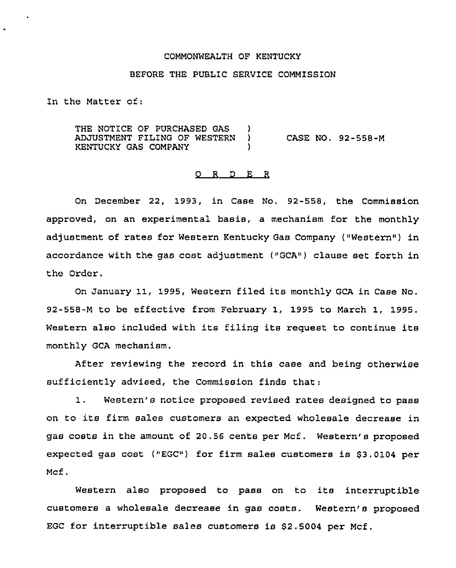#### COMMONWEALTH OF KENTUCKY

### BEFORE THE PUBLIC SERVICE COMMISSION

In the Matter of:

THE NOTICE OF PURCHASED GAS )<br>ADJUSTMENT FILING OF WESTERN ) ADJUSTMENT FILING OF WESTERN KENTUCKY GAS COMPANY ) CASE NO. 92-558-M

# ORDER

On December 22, 1993, in Case No. 92-558, the Commission approved, on an experimental basis, a mechanism for the monthly adjustment of rates for Western Kentucky Gas Company ("Western") in accordance with the gas cost adjustment ("GCA") clause set forth in the Order.

On January 11, 1995, Western filed its monthly GCA in Case No. 92-558-M to be effective from February 1, 1995 to March 1, 1995. Western also included with its filing its request to continue its monthly GCA mechanism.

After reviewing the record in this case and being otherwise sufficiently advised, the Commission finds that:

1. Western's notice proposed revised rates designed to pass on to its firm sales customers an expected wholesale decrease in gas costs in the amount of 20.56 cents per Mcf. Western's proposed expected gas cost ("EGC") for firm sales customers is  $$3.0104$  per Mcf.

Western also proposed to pass on to its interruptible customers a wholesale decrease in gas costs. Western's proposed EGC for interruptible sales customers is \$2.5004 per Mcf.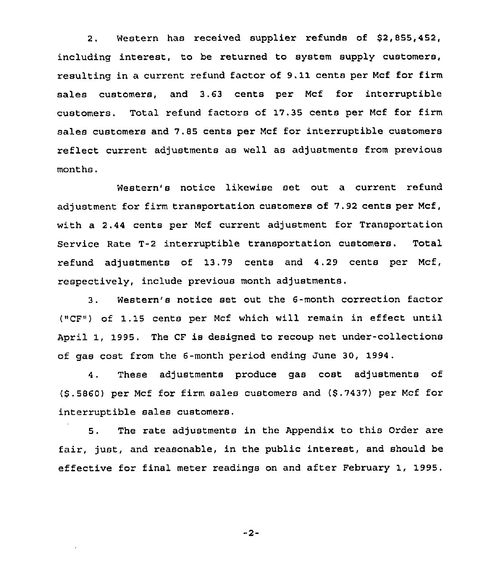2. Western has received supplier refunds of \$2,855,452, including interest, to be returned to system supply customers, resulting in a current refund factor of 9.11cents per Mcf for firm sales customers, and 3.63 cents per Ncf for interruptible customers. Total refund factors of 17.35 cents per Mcf for firm sales customers and 7.85 cents per Ncf for interruptible customers reflect current adjustments as well as adjustments from previous months.

Western's notice likewise set out a current refund adjustment for firm transportation customers of 7.92 cents per Mcf, with a 2.44 cents per Mcf current adjustment for Transportation Service Rate T-2 interruptible transportation customers. Total refund adjustments of 13.79 cents and 4.29 cents per Mcf, respectively, include previous month adjustments.

3. Western's notice set out the 6-month correction factor ("CF") of 1.15 cents per Mcf which will remain in effect until April 1, 1995. The CF is designed to recoup net under-collections of gas cost from the 6-month period ending June 30, 1994.

4. These adjustments produce gas cost adjustments of (\$ .5860) per Mcf for firm sales customers and (\$ .7437) per Mcf for interruptible sales customers.

5. The rate adjustments in the Appendix to this Order are fair, just, and reasonable, in the public interest, and should be effective for final meter readings on and after February 1, 1995.

 $-2-$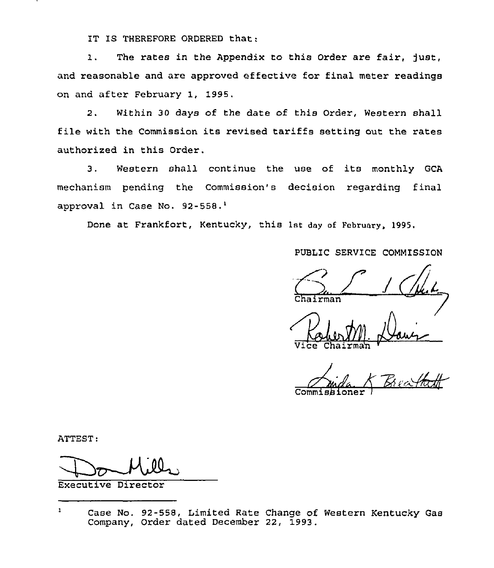IT IS THEREFORE ORDERED that:

1. The rates in the Appendix to this Order are fair, just, and reasonable and are approved effective for final meter readings on and after February 1, 1995.

2. Within 30 days of the date of this Order, Western shall file with the Commission its revised tariffs setting out the rates authorized in this Order.

3. Western shall continue the use of its monthly GCA mechanism pending the Commission's decision regarding final approval in Case No. 92-558.<sup>1</sup>

Done at Frankfort, Kentucky, this 1st day of February, 1995.

PUBLIC SERVICE COMMISSION

 $P_{\text{chairman}}$  /  $Q_{\text{chairman}}$ 

Vice C

Commis<mark>bion</mark>e  $K$  Bu j 4<br>Http

ATTEST:

Executive Director

 $\mathbf{1}$ Case No. 92-558, Limited Rate Change of Western Kentucky Gas Company, Order dated December 22, 1993.